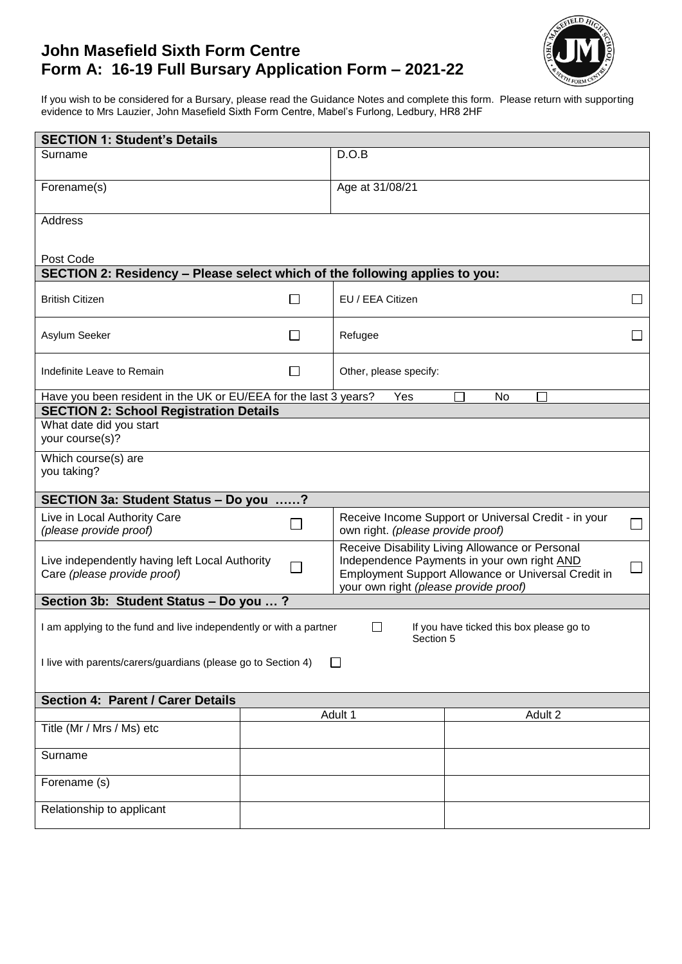# **John Masefield Sixth Form Centre Form A: 16-19 Full Bursary Application Form – 2021-22**



If you wish to be considered for a Bursary, please read the Guidance Notes and complete this form. Please return with supporting evidence to Mrs Lauzier, John Masefield Sixth Form Centre, Mabel's Furlong, Ledbury, HR8 2HF

| <b>SECTION 1: Student's Details</b>                                                                                                         |              |                                                                                                                                                                                                |         |                             |  |  |  |
|---------------------------------------------------------------------------------------------------------------------------------------------|--------------|------------------------------------------------------------------------------------------------------------------------------------------------------------------------------------------------|---------|-----------------------------|--|--|--|
| Surname                                                                                                                                     |              | D.O.B                                                                                                                                                                                          |         |                             |  |  |  |
|                                                                                                                                             |              |                                                                                                                                                                                                |         |                             |  |  |  |
| Forename(s)                                                                                                                                 |              | Age at 31/08/21                                                                                                                                                                                |         |                             |  |  |  |
| Address                                                                                                                                     |              |                                                                                                                                                                                                |         |                             |  |  |  |
|                                                                                                                                             |              |                                                                                                                                                                                                |         |                             |  |  |  |
| Post Code                                                                                                                                   |              |                                                                                                                                                                                                |         |                             |  |  |  |
| SECTION 2: Residency - Please select which of the following applies to you:                                                                 |              |                                                                                                                                                                                                |         |                             |  |  |  |
| <b>British Citizen</b>                                                                                                                      | $\mathsf{L}$ | EU / EEA Citizen                                                                                                                                                                               |         | $\overline{\phantom{a}}$    |  |  |  |
| Asylum Seeker                                                                                                                               | $\mathsf{L}$ | Refugee                                                                                                                                                                                        |         |                             |  |  |  |
| Indefinite Leave to Remain                                                                                                                  | ΙI           | Other, please specify:                                                                                                                                                                         |         |                             |  |  |  |
| Have you been resident in the UK or EU/EEA for the last 3 years?                                                                            |              | Yes                                                                                                                                                                                            | No      |                             |  |  |  |
| <b>SECTION 2: School Registration Details</b>                                                                                               |              |                                                                                                                                                                                                |         |                             |  |  |  |
| What date did you start<br>your course(s)?                                                                                                  |              |                                                                                                                                                                                                |         |                             |  |  |  |
| Which course(s) are<br>you taking?                                                                                                          |              |                                                                                                                                                                                                |         |                             |  |  |  |
| SECTION 3a: Student Status - Do you ?                                                                                                       |              |                                                                                                                                                                                                |         |                             |  |  |  |
| Live in Local Authority Care<br>(please provide proof)                                                                                      |              | Receive Income Support or Universal Credit - in your<br>own right. (please provide proof)                                                                                                      |         | $\mathcal{L}_{\mathcal{A}}$ |  |  |  |
| Live independently having left Local Authority<br>$\Box$<br>Care (please provide proof)                                                     |              | Receive Disability Living Allowance or Personal<br>Independence Payments in your own right AND<br>Employment Support Allowance or Universal Credit in<br>your own right (please provide proof) |         |                             |  |  |  |
| Section 3b: Student Status - Do you ?                                                                                                       |              |                                                                                                                                                                                                |         |                             |  |  |  |
| If you have ticked this box please go to<br>I am applying to the fund and live independently or with a partner<br>$\mathsf{L}$<br>Section 5 |              |                                                                                                                                                                                                |         |                             |  |  |  |
| I live with parents/carers/guardians (please go to Section 4)<br>$\perp$                                                                    |              |                                                                                                                                                                                                |         |                             |  |  |  |
| Section 4: Parent / Carer Details                                                                                                           |              |                                                                                                                                                                                                |         |                             |  |  |  |
|                                                                                                                                             |              | Adult 1                                                                                                                                                                                        | Adult 2 |                             |  |  |  |
| Title (Mr / Mrs / Ms) etc                                                                                                                   |              |                                                                                                                                                                                                |         |                             |  |  |  |
| Surname                                                                                                                                     |              |                                                                                                                                                                                                |         |                             |  |  |  |
| Forename (s)                                                                                                                                |              |                                                                                                                                                                                                |         |                             |  |  |  |
| Relationship to applicant                                                                                                                   |              |                                                                                                                                                                                                |         |                             |  |  |  |